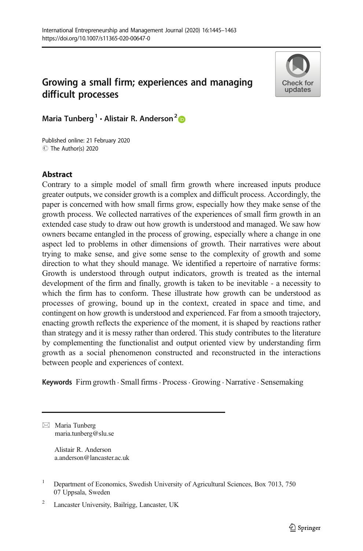# Growing a small firm; experiences and managing difficult processes



Maria Tunberg<sup>1</sup> · Alistair R. Anderson<sup>2</sup>

C The Author(s) 2020 Published online: 21 February 2020

# Abstract

Contrary to a simple model of small firm growth where increased inputs produce greater outputs, we consider growth is a complex and difficult process. Accordingly, the paper is concerned with how small firms grow, especially how they make sense of the growth process. We collected narratives of the experiences of small firm growth in an extended case study to draw out how growth is understood and managed. We saw how owners became entangled in the process of growing, especially where a change in one aspect led to problems in other dimensions of growth. Their narratives were about trying to make sense, and give some sense to the complexity of growth and some direction to what they should manage. We identified a repertoire of narrative forms: Growth is understood through output indicators, growth is treated as the internal development of the firm and finally, growth is taken to be inevitable - a necessity to which the firm has to conform. These illustrate how growth can be understood as processes of growing, bound up in the context, created in space and time, and contingent on how growth is understood and experienced. Far from a smooth trajectory, enacting growth reflects the experience of the moment, it is shaped by reactions rather than strategy and it is messy rather than ordered. This study contributes to the literature by complementing the functionalist and output oriented view by understanding firm growth as a social phenomenon constructed and reconstructed in the interactions between people and experiences of context.

Keywords Firm growth · Small firms · Process · Growing · Narrative · Sensemaking

 $\boxtimes$  Maria Tunberg [maria.tunberg@slu.se](mailto:maria.tunberg@slu.se)

> Alistair R. Anderson a.anderson@lancaster.ac.uk

<sup>&</sup>lt;sup>1</sup> Department of Economics, Swedish University of Agricultural Sciences, Box 7013, 750 07 Uppsala, Sweden

<sup>2</sup> Lancaster University, Bailrigg, Lancaster, UK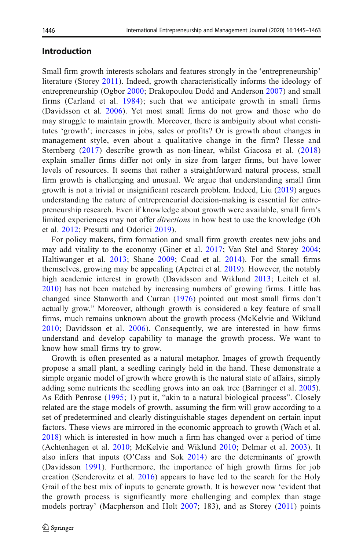## Introduction

Small firm growth interests scholars and features strongly in the 'entrepreneurship' literature (Storey [2011\)](#page-17-0). Indeed, growth characteristically informs the ideology of entrepreneurship (Ogbor [2000;](#page-17-0) Drakopoulou Dodd and Anderson [2007\)](#page-15-0) and small firms (Carland et al. [1984\)](#page-15-0); such that we anticipate growth in small firms (Davidsson et al. [2006](#page-15-0)). Yet most small firms do not grow and those who do may struggle to maintain growth. Moreover, there is ambiguity about what constitutes 'growth'; increases in jobs, sales or profits? Or is growth about changes in management style, even about a qualitative change in the firm? Hesse and Sternberg [\(2017](#page-16-0)) describe growth as non-linear, whilst Giacosa et al. [\(2018](#page-16-0)) explain smaller firms differ not only in size from larger firms, but have lower levels of resources. It seems that rather a straightforward natural process, small firm growth is challenging and unusual. We argue that understanding small firm growth is not a trivial or insignificant research problem. Indeed, Liu ([2019\)](#page-16-0) argues understanding the nature of entrepreneurial decision-making is essential for entrepreneurship research. Even if knowledge about growth were available, small firm's limited experiences may not offer *directions* in how best to use the knowledge (Oh et al. [2012](#page-17-0); Presutti and Odorici [2019\)](#page-17-0).

For policy makers, firm formation and small firm growth creates new jobs and may add vitality to the economy (Giner et al. [2017;](#page-16-0) Van Stel and Storey [2004;](#page-18-0) Haltiwanger et al. [2013;](#page-16-0) Shane [2009;](#page-17-0) Coad et al. [2014](#page-15-0)). For the small firms themselves, growing may be appealing (Apetrei et al. [2019](#page-15-0)). However, the notably high academic interest in growth (Davidsson and Wiklund [2013](#page-15-0); Leitch et al. [2010](#page-16-0)) has not been matched by increasing numbers of growing firms. Little has changed since Stanworth and Curran [\(1976\)](#page-17-0) pointed out most small firms don't actually grow." Moreover, although growth is considered a key feature of small firms, much remains unknown about the growth process (McKelvie and Wiklund [2010;](#page-17-0) Davidsson et al. [2006\)](#page-15-0). Consequently, we are interested in how firms understand and develop capability to manage the growth process. We want to know how small firms try to grow.

Growth is often presented as a natural metaphor. Images of growth frequently propose a small plant, a seedling caringly held in the hand. These demonstrate a simple organic model of growth where growth is the natural state of affairs, simply adding some nutrients the seedling grows into an oak tree (Barringer et al. [2005\)](#page-15-0). As Edith Penrose ([1995](#page-17-0); 1) put it, "akin to a natural biological process". Closely related are the stage models of growth, assuming the firm will grow according to a set of predetermined and clearly distinguishable stages dependent on certain input factors. These views are mirrored in the economic approach to growth (Wach et al. [2018](#page-18-0)) which is interested in how much a firm has changed over a period of time (Achtenhagen et al. [2010](#page-15-0); McKelvie and Wiklund [2010](#page-17-0); Delmar et al. [2003](#page-15-0)). It also infers that inputs (O'Cass and Sok  $2014$ ) are the determinants of growth (Davidsson [1991](#page-15-0)). Furthermore, the importance of high growth firms for job creation (Senderovitz et al. [2016](#page-17-0)) appears to have led to the search for the Holy Grail of the best mix of inputs to generate growth. It is however now 'evident that the growth process is significantly more challenging and complex than stage models portray' (Macpherson and Holt [2007](#page-17-0); 183), and as Storey [\(2011](#page-17-0)) points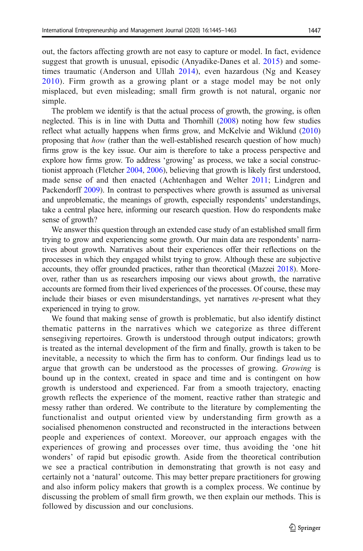out, the factors affecting growth are not easy to capture or model. In fact, evidence suggest that growth is unusual, episodic (Anyadike-Danes et al. [2015](#page-15-0)) and sometimes traumatic (Anderson and Ullah [2014\)](#page-15-0), even hazardous (Ng and Keasey [2010](#page-17-0)). Firm growth as a growing plant or a stage model may be not only misplaced, but even misleading; small firm growth is not natural, organic nor simple.

The problem we identify is that the actual process of growth, the growing, is often neglected. This is in line with Dutta and Thornhill ([2008](#page-16-0)) noting how few studies reflect what actually happens when firms grow, and McKelvie and Wiklund ([2010](#page-17-0)) proposing that how (rather than the well-established research question of how much) firms grow is the key issue. Our aim is therefore to take a process perspective and explore how firms grow. To address 'growing' as process, we take a social constructionist approach (Fletcher [2004,](#page-16-0) [2006](#page-16-0)), believing that growth is likely first understood, made sense of and then enacted (Achtenhagen and Welter [2011;](#page-15-0) Lindgren and Packendorff [2009](#page-16-0)). In contrast to perspectives where growth is assumed as universal and unproblematic, the meanings of growth, especially respondents' understandings, take a central place here, informing our research question. How do respondents make sense of growth?

We answer this question through an extended case study of an established small firm trying to grow and experiencing some growth. Our main data are respondents' narratives about growth. Narratives about their experiences offer their reflections on the processes in which they engaged whilst trying to grow. Although these are subjective accounts, they offer grounded practices, rather than theoretical (Mazzei [2018](#page-17-0)). Moreover, rather than us as researchers imposing our views about growth, the narrative accounts are formed from their lived experiences of the processes. Of course, these may include their biases or even misunderstandings, yet narratives re-present what they experienced in trying to grow.

We found that making sense of growth is problematic, but also identify distinct thematic patterns in the narratives which we categorize as three different sensegiving repertoires. Growth is understood through output indicators; growth is treated as the internal development of the firm and finally, growth is taken to be inevitable, a necessity to which the firm has to conform. Our findings lead us to argue that growth can be understood as the processes of growing. Growing is bound up in the context, created in space and time and is contingent on how growth is understood and experienced. Far from a smooth trajectory, enacting growth reflects the experience of the moment, reactive rather than strategic and messy rather than ordered. We contribute to the literature by complementing the functionalist and output oriented view by understanding firm growth as a socialised phenomenon constructed and reconstructed in the interactions between people and experiences of context. Moreover, our approach engages with the experiences of growing and processes over time, thus avoiding the 'one hit wonders' of rapid but episodic growth. Aside from the theoretical contribution we see a practical contribution in demonstrating that growth is not easy and certainly not a 'natural' outcome. This may better prepare practitioners for growing and also inform policy makers that growth is a complex process. We continue by discussing the problem of small firm growth, we then explain our methods. This is followed by discussion and our conclusions.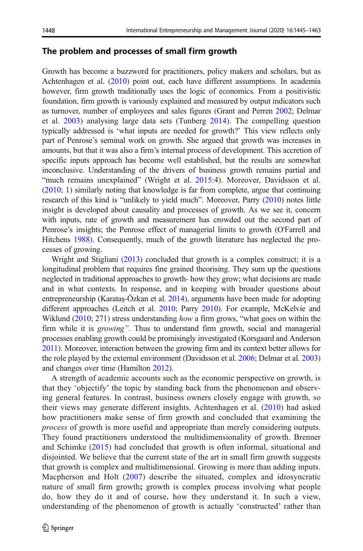## The problem and processes of small firm growth

Growth has become a buzzword for practitioners, policy makers and scholars, but as Achtenhagen et al. [\(2010\)](#page-15-0) point out, each have different assumptions. In academia however, firm growth traditionally uses the logic of economics. From a positivistic foundation, firm growth is variously explained and measured by output indicators such as turnover, number of employees and sales figures (Grant and Perren [2002](#page-16-0); Delmar et al. [2003](#page-15-0)) analysing large data sets (Tunberg [2014](#page-17-0)). The compelling question typically addressed is 'what inputs are needed for growth?' This view reflects only part of Penrose's seminal work on growth. She argued that growth was increases in amounts, but that it was also a firm's internal process of development. This accretion of specific inputs approach has become well established, but the results are somewhat inconclusive. Understanding of the drivers of business growth remains partial and "much remains unexplained" (Wright et al. [2015:](#page-18-0)4). Moreover, Davidsson et al. [\(2010;](#page-15-0) 1) similarly noting that knowledge is far from complete, argue that continuing research of this kind is "unlikely to yield much". Moreover, Parry [\(2010\)](#page-17-0) notes little insight is developed about causality and processes of growth. As we see it, concern with inputs, rate of growth and measurement has crowded out the second part of Penrose's insights; the Penrose effect of managerial limits to growth (O'Farrell and Hitchens [1988\)](#page-17-0). Consequently, much of the growth literature has neglected the processes of growing.

Wright and Stigliani [\(2013\)](#page-18-0) concluded that growth is a complex construct; it is a longitudinal problem that requires fine grained theorising. They sum up the questions neglected in traditional approaches to growth- how they grow; what decisions are made and in what contexts. In response, and in keeping with broader questions about entrepreneurship (Karataş-Özkan et al. [2014](#page-16-0)), arguments have been made for adopting different approaches (Leitch et al. [2010](#page-16-0); Parry [2010](#page-17-0)). For example, McKelvie and Wiklund [\(2010](#page-17-0); 271) stress understanding how a firm grows, "what goes on within the firm while it is *growing*". Thus to understand firm growth, social and managerial processes enabling growth could be promisingly investigated (Korsgaard and Anderson [2011](#page-16-0)). Moreover, interaction between the growing firm and its context better allows for the role played by the external environment (Davidsson et al. [2006](#page-15-0); Delmar et al. [2003](#page-15-0)) and changes over time (Hamilton [2012\)](#page-16-0).

A strength of academic accounts such as the economic perspective on growth, is that they 'objectify' the topic by standing back from the phenomenon and observing general features. In contrast, business owners closely engage with growth, so their views may generate different insights. Achtenhagen et al. ([2010](#page-15-0)) had asked how practitioners make sense of firm growth and concluded that examining the process of growth is more useful and appropriate than merely considering outputs. They found practitioners understood the multidimensionality of growth. Brenner and Schimke [\(2015\)](#page-15-0) had concluded that growth is often informal, situational and disjointed. We believe that the current state of the art in small firm growth suggests that growth is complex and multidimensional. Growing is more than adding inputs. Macpherson and Holt ([2007\)](#page-17-0) describe the situated, complex and idiosyncratic nature of small firm growth; growth is complex process involving what people do, how they do it and of course, how they understand it. In such a view, understanding of the phenomenon of growth is actually 'constructed' rather than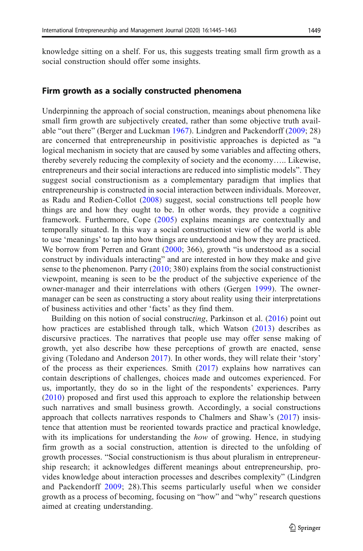knowledge sitting on a shelf. For us, this suggests treating small firm growth as a social construction should offer some insights.

## Firm growth as a socially constructed phenomena

Underpinning the approach of social construction, meanings about phenomena like small firm growth are subjectively created, rather than some objective truth available "out there" (Berger and Luckman [1967\)](#page-15-0). Lindgren and Packendorff [\(2009;](#page-16-0) 28) are concerned that entrepreneurship in positivistic approaches is depicted as "a logical mechanism in society that are caused by some variables and affecting others, thereby severely reducing the complexity of society and the economy….. Likewise, entrepreneurs and their social interactions are reduced into simplistic models". They suggest social constructionism as a complementary paradigm that implies that entrepreneurship is constructed in social interaction between individuals. Moreover, as Radu and Redien-Collot [\(2008\)](#page-17-0) suggest, social constructions tell people how things are and how they ought to be. In other words, they provide a cognitive framework. Furthermore, Cope ([2005](#page-15-0)) explains meanings are contextually and temporally situated. In this way a social constructionist view of the world is able to use 'meanings' to tap into how things are understood and how they are practiced. We borrow from Perren and Grant ([2000](#page-17-0); 366), growth "is understood as a social construct by individuals interacting" and are interested in how they make and give sense to the phenomenon. Parry  $(2010; 380)$  $(2010; 380)$  explains from the social constructionist viewpoint, meaning is seen to be the product of the subjective experience of the owner-manager and their interrelations with others (Gergen [1999](#page-16-0)). The ownermanager can be seen as constructing a story about reality using their interpretations of business activities and other 'facts' as they find them.

Building on this notion of social constructing, Parkinson et al. ([2016](#page-17-0)) point out how practices are established through talk, which Watson ([2013](#page-18-0)) describes as discursive practices. The narratives that people use may offer sense making of growth, yet also describe how these perceptions of growth are enacted, sense giving (Toledano and Anderson [2017](#page-17-0)). In other words, they will relate their 'story' of the process as their experiences. Smith [\(2017\)](#page-17-0) explains how narratives can contain descriptions of challenges, choices made and outcomes experienced. For us, importantly, they do so in the light of the respondents' experiences. Parry [\(2010\)](#page-17-0) proposed and first used this approach to explore the relationship between such narratives and small business growth. Accordingly, a social constructions approach that collects narratives responds to Chalmers and Shaw's ([2017](#page-15-0)) insistence that attention must be reoriented towards practice and practical knowledge, with its implications for understanding the how of growing. Hence, in studying firm growth as a social construction, attention is directed to the unfolding of growth processes. "Social constructionism is thus about pluralism in entrepreneurship research; it acknowledges different meanings about entrepreneurship, provides knowledge about interaction processes and describes complexity" (Lindgren and Packendorff [2009](#page-16-0); 28).This seems particularly useful when we consider growth as a process of becoming, focusing on "how" and "why" research questions aimed at creating understanding.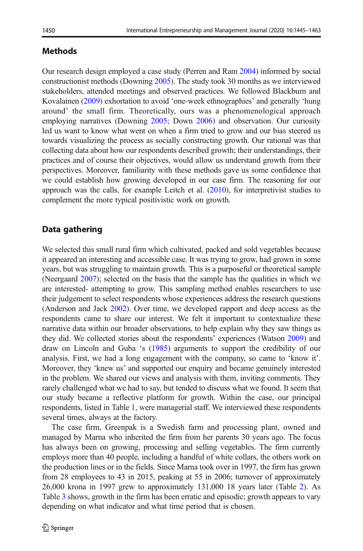# **Methods**

Our research design employed a case study (Perren and Ram [2004\)](#page-17-0) informed by social constructionist methods (Downing [2005\)](#page-15-0). The study took 30 months as we interviewed stakeholders, attended meetings and observed practices. We followed Blackburn and Kovalainen [\(2009\)](#page-15-0) exhortation to avoid 'one-week ethnographies' and generally 'hung around' the small firm. Theoretically, ours was a phenomenological approach employing narratives (Downing [2005;](#page-15-0) Down [2006](#page-15-0)) and observation. Our curiosity led us want to know what went on when a firm tried to grow and our bias steered us towards visualizing the process as socially constructing growth. Our rational was that collecting data about how our respondents described growth; their understandings, their practices and of course their objectives, would allow us understand growth from their perspectives. Moreover, familiarity with these methods gave us some confidence that we could establish how growing developed in our case firm. The reasoning for our approach was the calls, for example Leitch et al. [\(2010\)](#page-16-0), for interpretivist studies to complement the more typical positivistic work on growth.

# Data gathering

We selected this small rural firm which cultivated, packed and sold vegetables because it appeared an interesting and accessible case. It was trying to grow, had grown in some years, but was struggling to maintain growth. This is a purposeful or theoretical sample (Neergaard [2007\)](#page-17-0); selected on the basis that the sample has the qualities in which we are interested- attempting to grow. This sampling method enables researchers to use their judgement to select respondents whose experiences address the research questions (Anderson and Jack [2002](#page-15-0)). Over time, we developed rapport and deep access as the respondents came to share our interest. We felt it important to contextualize these narrative data within our broader observations, to help explain why they saw things as they did. We collected stories about the respondents' experiences (Watson [2009\)](#page-18-0) and draw on Lincoln and Guba 's [\(1985](#page-16-0)) arguments to support the credibility of our analysis. First, we had a long engagement with the company, so came to 'know it'. Moreover, they 'knew us' and supported our enquiry and became genuinely interested in the problem. We shared our views and analysis with them, inviting comments. They rarely challenged what we had to say, but tended to discuss what we found. It seem that our study became a reflective platform for growth. Within the case, our principal respondents, listed in Table [1,](#page-6-0) were managerial staff. We interviewed these respondents several times, always at the factory.

The case firm, Greenpak is a Swedish farm and processing plant, owned and managed by Marna who inherited the firm from her parents 30 years ago. The focus has always been on growing, processing and selling vegetables. The firm currently employs more than 40 people, including a handful of white collars, the others work on the production lines or in the fields. Since Marna took over in 1997, the firm has grown from 28 employees to 43 in 2015, peaking at 55 in 2006; turnover of approximately 26,000 krona in 1997 grew to approximately 131,000 18 years later (Table [2\)](#page-6-0). As Table [3](#page-7-0) shows, growth in the firm has been erratic and episodic; growth appears to vary depending on what indicator and what time period that is chosen.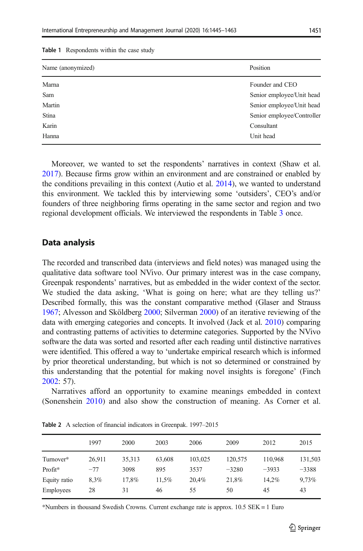| Name (anonymized) | Position                   |
|-------------------|----------------------------|
| Marna             | Founder and CEO            |
| Sam               | Senior employee/Unit head  |
| Martin            | Senior employee/Unit head  |
| Stina             | Senior employee/Controller |
| Karin             | Consultant                 |
| Hanna             | Unit head                  |

<span id="page-6-0"></span>Table 1 Respondents within the case study

Moreover, we wanted to set the respondents' narratives in context (Shaw et al. [2017\)](#page-17-0). Because firms grow within an environment and are constrained or enabled by the conditions prevailing in this context (Autio et al. [2014\)](#page-15-0), we wanted to understand this environment. We tackled this by interviewing some 'outsiders', CEO's and/or founders of three neighboring firms operating in the same sector and region and two regional development officials. We interviewed the respondents in Table [3](#page-7-0) once.

### Data analysis

The recorded and transcribed data (interviews and field notes) was managed using the qualitative data software tool NVivo. Our primary interest was in the case company, Greenpak respondents' narratives, but as embedded in the wider context of the sector. We studied the data asking, 'What is going on here; what are they telling us?' Described formally, this was the constant comparative method (Glaser and Strauss [1967;](#page-16-0) Alvesson and Sköldberg [2000;](#page-15-0) Silverman [2000](#page-17-0)) of an iterative reviewing of the data with emerging categories and concepts. It involved (Jack et al. [2010](#page-16-0)) comparing and contrasting patterns of activities to determine categories. Supported by the NVivo software the data was sorted and resorted after each reading until distinctive narratives were identified. This offered a way to 'undertake empirical research which is informed by prior theoretical understanding, but which is not so determined or constrained by this understanding that the potential for making novel insights is foregone' (Finch [2002:](#page-16-0) 57).

Narratives afford an opportunity to examine meanings embedded in context (Sonenshein [2010](#page-17-0)) and also show the construction of meaning. As Corner et al.

|              | 1997   | 2000   | 2003   | 2006    | 2009    | 2012    | 2015    |
|--------------|--------|--------|--------|---------|---------|---------|---------|
| Turnover*    | 26.911 | 35.313 | 63,608 | 103,025 | 120,575 | 110.968 | 131,503 |
| Profit*      | $-77$  | 3098   | 895    | 3537    | $-3280$ | $-3933$ | $-3388$ |
| Equity ratio | 8.3%   | 17.8%  | 11.5%  | 20.4%   | 21.8%   | 14.2%   | 9,73%   |
| Employees    | 28     | 31     | 46     | 55      | 50      | 45      | 43      |

Table 2 A selection of financial indicators in Greenpak. 1997–2015

\*Numbers in thousand Swedish Crowns. Current exchange rate is approx. 10.5 SEK = 1 Euro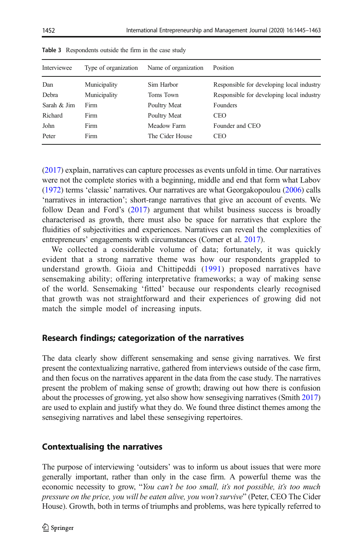| Interviewee   | Type of organization | Name of organization | Position                                  |
|---------------|----------------------|----------------------|-------------------------------------------|
| Dan           | Municipality         | Sim Harbor           | Responsible for developing local industry |
| Debra         | Municipality         | Toms Town            | Responsible for developing local industry |
| Sarah $&$ Jim | Firm                 | Poultry Meat         | Founders                                  |
| Richard       | Firm                 | Poultry Meat         | <b>CEO</b>                                |
| John          | Firm                 | Meadow Farm          | Founder and CEO                           |
| Peter         | Firm                 | The Cider House      | CEO                                       |
|               |                      |                      |                                           |

<span id="page-7-0"></span>Table 3 Respondents outside the firm in the case study

[\(2017\)](#page-15-0) explain, narratives can capture processes as events unfold in time. Our narratives were not the complete stories with a beginning, middle and end that form what Labov [\(1972\)](#page-16-0) terms 'classic' narratives. Our narratives are what Georgakopoulou [\(2006\)](#page-16-0) calls 'narratives in interaction'; short-range narratives that give an account of events. We follow Dean and Ford's [\(2017](#page-15-0)) argument that whilst business success is broadly characterised as growth, there must also be space for narratives that explore the fluidities of subjectivities and experiences. Narratives can reveal the complexities of entrepreneurs' engagements with circumstances (Corner et al. [2017](#page-15-0)).

We collected a considerable volume of data; fortunately, it was quickly evident that a strong narrative theme was how our respondents grappled to understand growth. Gioia and Chittipeddi [\(1991](#page-16-0)) proposed narratives have sensemaking ability; offering interpretative frameworks; a way of making sense of the world. Sensemaking 'fitted' because our respondents clearly recognised that growth was not straightforward and their experiences of growing did not match the simple model of increasing inputs.

# Research findings; categorization of the narratives

The data clearly show different sensemaking and sense giving narratives. We first present the contextualizing narrative, gathered from interviews outside of the case firm, and then focus on the narratives apparent in the data from the case study. The narratives present the problem of making sense of growth; drawing out how there is confusion about the processes of growing, yet also show how sensegiving narratives (Smith [2017](#page-17-0)) are used to explain and justify what they do. We found three distinct themes among the sensegiving narratives and label these sensegiving repertoires.

# Contextualising the narratives

The purpose of interviewing 'outsiders' was to inform us about issues that were more generally important, rather than only in the case firm. A powerful theme was the economic necessity to grow, "You can't be too small, it's not possible, it's too much pressure on the price, you will be eaten alive, you won't survive" (Peter, CEO The Cider House). Growth, both in terms of triumphs and problems, was here typically referred to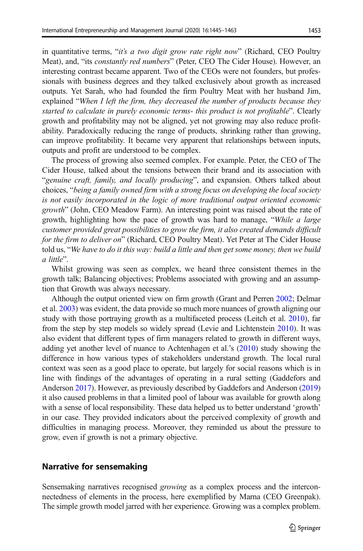in quantitative terms, "it's a two digit grow rate right now" (Richard, CEO Poultry Meat), and, "its *constantly red numbers*" (Peter, CEO The Cider House). However, an interesting contrast became apparent. Two of the CEOs were not founders, but professionals with business degrees and they talked exclusively about growth as increased outputs. Yet Sarah, who had founded the firm Poultry Meat with her husband Jim, explained "When I left the firm, they decreased the number of products because they started to calculate in purely economic terms- this product is not profitable". Clearly growth and profitability may not be aligned, yet not growing may also reduce profitability. Paradoxically reducing the range of products, shrinking rather than growing, can improve profitability. It became very apparent that relationships between inputs, outputs and profit are understood to be complex.

The process of growing also seemed complex. For example. Peter, the CEO of The Cider House, talked about the tensions between their brand and its association with "genuine craft, family, and locally producing", and expansion. Others talked about choices, "being a family owned firm with a strong focus on developing the local society is not easily incorporated in the logic of more traditional output oriented economic growth" (John, CEO Meadow Farm). An interesting point was raised about the rate of growth, highlighting how the pace of growth was hard to manage, "While a large customer provided great possibilities to grow the firm, it also created demands difficult for the firm to deliver on" (Richard, CEO Poultry Meat). Yet Peter at The Cider House told us, "We have to do it this way: build a little and then get some money, then we build a little".

Whilst growing was seen as complex, we heard three consistent themes in the growth talk; Balancing objectives; Problems associated with growing and an assumption that Growth was always necessary.

Although the output oriented view on firm growth (Grant and Perren [2002;](#page-16-0) Delmar et al. [2003](#page-15-0)) was evident, the data provide so much more nuances of growth aligning our study with those portraying growth as a multifaceted process (Leitch et al. [2010\)](#page-16-0), far from the step by step models so widely spread (Levie and Lichtenstein [2010](#page-16-0)). It was also evident that different types of firm managers related to growth in different ways, adding yet another level of nuance to Achtenhagen et al.'s ([2010](#page-15-0)) study showing the difference in how various types of stakeholders understand growth. The local rural context was seen as a good place to operate, but largely for social reasons which is in line with findings of the advantages of operating in a rural setting (Gaddefors and Anderson [2017\)](#page-16-0). However, as previously described by Gaddefors and Anderson ([2019](#page-16-0)) it also caused problems in that a limited pool of labour was available for growth along with a sense of local responsibility. These data helped us to better understand 'growth' in our case. They provided indicators about the perceived complexity of growth and difficulties in managing process. Moreover, they reminded us about the pressure to grow, even if growth is not a primary objective.

## Narrative for sensemaking

Sensemaking narratives recognised growing as a complex process and the interconnectedness of elements in the process, here exemplified by Marna (CEO Greenpak). The simple growth model jarred with her experience. Growing was a complex problem.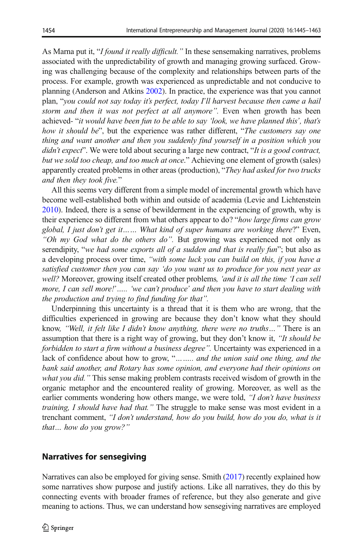As Marna put it, "I found it really difficult." In these sensemaking narratives, problems associated with the unpredictability of growth and managing growing surfaced. Growing was challenging because of the complexity and relationships between parts of the process. For example, growth was experienced as unpredictable and not conducive to planning (Anderson and Atkins [2002](#page-15-0)). In practice, the experience was that you cannot plan, "you could not say today it's perfect, today I'll harvest because then came a hail storm and then it was not perfect at all anymore". Even when growth has been achieved- "it would have been fun to be able to say 'look, we have planned this', that's how it should be", but the experience was rather different, "The customers say one thing and want another and then you suddenly find yourself in a position which you didn't expect". We were told about securing a large new contract, "It is a good contract, but we sold too cheap, and too much at once." Achieving one element of growth (sales) apparently created problems in other areas (production), "They had asked for two trucks and then they took five."

All this seems very different from a simple model of incremental growth which have become well-established both within and outside of academia (Levie and Lichtenstein [2010\)](#page-16-0). Indeed, there is a sense of bewilderment in the experiencing of growth, why is their experience so different from what others appear to do? "how large firms can grow global, I just don't get it…… What kind of super humans are working there?" Even, "Oh my God what do the others do". But growing was experienced not only as serendipity, "we had some exports all of a sudden and that is really fun"; but also as a developing process over time, "with some luck you can build on this, if you have a satisfied customer then you can say 'do you want us to produce for you next year as well? Moreover, growing itself created other problems, 'and it is all the time 'I can sell more, I can sell more!'..... 'we can't produce' and then you have to start dealing with the production and trying to find funding for that".

Underpinning this uncertainty is a thread that it is them who are wrong, that the difficulties experienced in growing are because they don't know what they should know, "Well, it felt like I didn't know anything, there were no truths…" There is an assumption that there is a right way of growing, but they don't know it, "It should be forbidden to start a firm without a business degree". Uncertainty was experienced in a lack of confidence about how to grow, "........ and the union said one thing, and the bank said another, and Rotary has some opinion, and everyone had their opinions on what you did." This sense making problem contrasts received wisdom of growth in the organic metaphor and the encountered reality of growing. Moreover, as well as the earlier comments wondering how others mange, we were told, "I don't have business training, I should have had that." The struggle to make sense was most evident in a trenchant comment, "I don't understand, how do you build, how do you do, what is it that… how do you grow?"

# Narratives for sensegiving

Narratives can also be employed for giving sense. Smith [\(2017\)](#page-17-0) recently explained how some narratives show purpose and justify actions. Like all narratives, they do this by connecting events with broader frames of reference, but they also generate and give meaning to actions. Thus, we can understand how sensegiving narratives are employed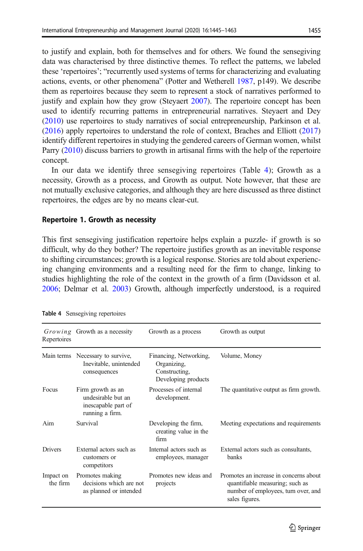to justify and explain, both for themselves and for others. We found the sensegiving data was characterised by three distinctive themes. To reflect the patterns, we labeled these 'repertoires'; "recurrently used systems of terms for characterizing and evaluating actions, events, or other phenomena" (Potter and Wetherell [1987,](#page-17-0) p149). We describe them as repertoires because they seem to represent a stock of narratives performed to justify and explain how they grow (Steyaert [2007\)](#page-17-0). The repertoire concept has been used to identify recurring patterns in entrepreneurial narratives. Steyaert and Dey [\(2010\)](#page-17-0) use repertoires to study narratives of social entrepreneurship, Parkinson et al. [\(2016\)](#page-17-0) apply repertoires to understand the role of context, Braches and Elliott ([2017](#page-15-0)) identify different repertoires in studying the gendered careers of German women, whilst Parry ([2010](#page-17-0)) discuss barriers to growth in artisanal firms with the help of the repertoire concept.

In our data we identify three sensegiving repertoires (Table 4); Growth as a necessity, Growth as a process, and Growth as output. Note however, that these are not mutually exclusive categories, and although they are here discussed as three distinct repertoires, the edges are by no means clear-cut.

#### Repertoire 1. Growth as necessity

This first sensegiving justification repertoire helps explain a puzzle- if growth is so difficult, why do they bother? The repertoire justifies growth as an inevitable response to shifting circumstances; growth is a logical response. Stories are told about experiencing changing environments and a resulting need for the firm to change, linking to studies highlighting the role of the context in the growth of a firm (Davidsson et al. [2006;](#page-15-0) Delmar et al. [2003\)](#page-15-0) Growth, although imperfectly understood, is a required

| Repertoires           | Growing Growth as a necessity                                                     | Growth as a process                                                           | Growth as output                                                                                                                   |
|-----------------------|-----------------------------------------------------------------------------------|-------------------------------------------------------------------------------|------------------------------------------------------------------------------------------------------------------------------------|
|                       | Main terms Necessary to survive,<br>Inevitable, unintended<br>consequences        | Financing, Networking,<br>Organizing,<br>Constructing,<br>Developing products | Volume, Money                                                                                                                      |
| Focus                 | Firm growth as an<br>undesirable but an<br>inescapable part of<br>running a firm. | Processes of internal<br>development.                                         | The quantitative output as firm growth.                                                                                            |
| Aim                   | Survival                                                                          | Developing the firm,<br>creating value in the<br>firm                         | Meeting expectations and requirements                                                                                              |
| <b>Drivers</b>        | External actors such as<br>customers or<br>competitors                            | Internal actors such as<br>employees, manager                                 | External actors such as consultants,<br>banks                                                                                      |
| Impact on<br>the firm | Promotes making<br>decisions which are not<br>as planned or intended              | Promotes new ideas and<br>projects                                            | Promotes an increase in concerns about<br>quantifiable measuring; such as<br>number of employees, turn over, and<br>sales figures. |

Table 4 Sensegiving repertoires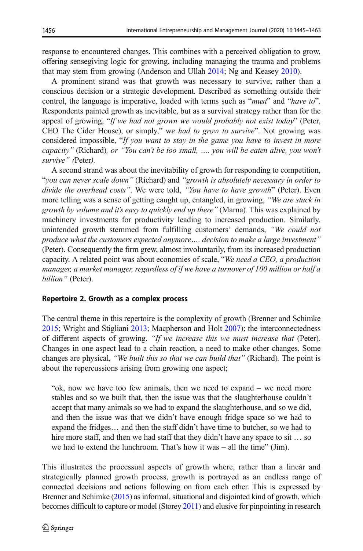response to encountered changes. This combines with a perceived obligation to grow, offering sensegiving logic for growing, including managing the trauma and problems that may stem from growing (Anderson and Ullah [2014](#page-15-0); Ng and Keasey [2010\)](#page-17-0).

A prominent strand was that growth was necessary to survive; rather than a conscious decision or a strategic development. Described as something outside their control, the language is imperative, loaded with terms such as "*must*" and "*have to*". Respondents painted growth as inevitable, but as a survival strategy rather than for the appeal of growing, "If we had not grown we would probably not exist today" (Peter, CEO The Cider House), or simply," we had to grow to survive". Not growing was considered impossible, "If you want to stay in the game you have to invest in more capacity" (Richard), or "You can't be too small, …. you will be eaten alive, you won't survive" (Peter).

A second strand was about the inevitability of growth for responding to competition, "you can never scale down" (Richard) and "growth is absolutely necessary in order to divide the overhead costs". We were told, "You have to have growth" (Peter). Even more telling was a sense of getting caught up, entangled, in growing, "We are stuck in growth by volume and it's easy to quickly end up there" (Marna). This was explained by machinery investments for productivity leading to increased production. Similarly, unintended growth stemmed from fulfilling customers' demands, "We could not produce what the customers expected anymore…. decision to make a large investment" (Peter). Consequently the firm grew, almost involuntarily, from its increased production capacity. A related point was about economies of scale, "We need a CEO, a production manager, a market manager, regardless of if we have a turnover of 100 million or half a billion" (Peter).

## Repertoire 2. Growth as a complex process

The central theme in this repertoire is the complexity of growth (Brenner and Schimke [2015;](#page-15-0) Wright and Stigliani [2013](#page-18-0); Macpherson and Holt [2007](#page-17-0)); the interconnectedness of different aspects of growing. "If we increase this we must increase that (Peter). Changes in one aspect lead to a chain reaction, a need to make other changes. Some changes are physical, "We built this so that we can build that" (Richard). The point is about the repercussions arising from growing one aspect;

"ok, now we have too few animals, then we need to expand – we need more stables and so we built that, then the issue was that the slaughterhouse couldn't accept that many animals so we had to expand the slaughterhouse, and so we did, and then the issue was that we didn't have enough fridge space so we had to expand the fridges… and then the staff didn't have time to butcher, so we had to hire more staff, and then we had staff that they didn't have any space to sit ... so we had to extend the lunchroom. That's how it was – all the time" (Jim).

This illustrates the processual aspects of growth where, rather than a linear and strategically planned growth process, growth is portrayed as an endless range of connected decisions and actions following on from each other. This is expressed by Brenner and Schimke ([2015\)](#page-15-0) as informal, situational and disjointed kind of growth, which becomes difficult to capture or model (Storey [2011](#page-17-0)) and elusive for pinpointing in research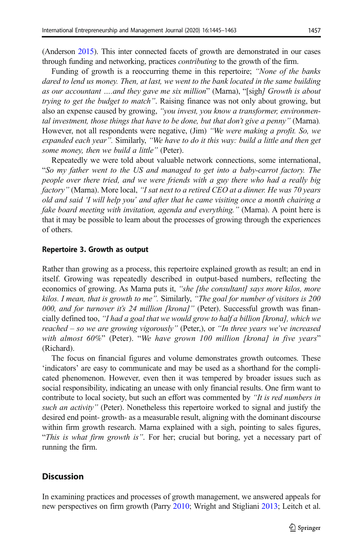(Anderson [2015\)](#page-15-0). This inter connected facets of growth are demonstrated in our cases through funding and networking, practices contributing to the growth of the firm.

Funding of growth is a reoccurring theme in this repertoire; "None of the banks" dared to lend us money. Then, at last, we went to the bank located in the same building as our accountant ….and they gave me six million" (Marna), "[sigh] Growth is about trying to get the budget to match". Raising finance was not only about growing, but also an expense caused by growing, "you invest, you know a transformer, environmental investment, those things that have to be done, but that don't give a penny" (Marna). However, not all respondents were negative, (Jim) "We were making a profit. So, we expanded each year". Similarly, "We have to do it this way: build a little and then get some money, then we build a little" (Peter).

Repeatedly we were told about valuable network connections, some international, "So my father went to the US and managed to get into a baby-carrot factory. The people over there tried, and we were friends with a guy there who had a really big factory" (Marna). More local, "I sat next to a retired CEO at a dinner. He was 70 years old and said 'I will help you' and after that he came visiting once a month chairing a fake board meeting with invitation, agenda and everything." (Marna). A point here is that it may be possible to learn about the processes of growing through the experiences of others.

#### Repertoire 3. Growth as output

Rather than growing as a process, this repertoire explained growth as result; an end in itself. Growing was repeatedly described in output-based numbers, reflecting the economics of growing. As Marna puts it, "she [the consultant] says more kilos, more kilos. I mean, that is growth to me". Similarly, "The goal for number of visitors is 200 000, and for turnover it's 24 million [krona]" (Peter). Successful growth was financially defined too, "I had a goal that we would grow to half a billion [krona], which we reached – so we are growing vigorously" (Peter,), or "In three years we've increased with almost 60%" (Peter). "We have grown 100 million [krona] in five years" (Richard).

The focus on financial figures and volume demonstrates growth outcomes. These 'indicators' are easy to communicate and may be used as a shorthand for the complicated phenomenon. However, even then it was tempered by broader issues such as social responsibility, indicating an unease with only financial results. One firm want to contribute to local society, but such an effort was commented by "It is red numbers in such an activity" (Peter). Nonetheless this repertoire worked to signal and justify the desired end point- growth- as a measurable result, aligning with the dominant discourse within firm growth research. Marna explained with a sigh, pointing to sales figures, "This is what firm growth is". For her; crucial but boring, yet a necessary part of running the firm.

## **Discussion**

In examining practices and processes of growth management, we answered appeals for new perspectives on firm growth (Parry [2010](#page-17-0); Wright and Stigliani [2013](#page-18-0); Leitch et al.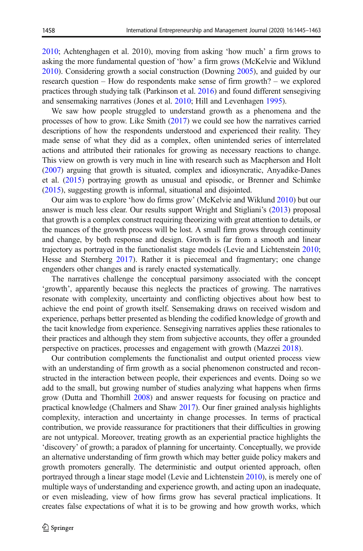[2010;](#page-16-0) Achtenghagen et al. 2010), moving from asking 'how much' a firm grows to asking the more fundamental question of 'how' a firm grows (McKelvie and Wiklund [2010\)](#page-17-0). Considering growth a social construction (Downing [2005\)](#page-15-0), and guided by our research question – How do respondents make sense of firm growth? – we explored practices through studying talk (Parkinson et al. [2016](#page-17-0)) and found different sensegiving and sensemaking narratives (Jones et al. [2010](#page-16-0); Hill and Levenhagen [1995\)](#page-16-0).

We saw how people struggled to understand growth as a phenomena and the processes of how to grow. Like Smith ([2017](#page-17-0)) we could see how the narratives carried descriptions of how the respondents understood and experienced their reality. They made sense of what they did as a complex, often unintended series of interrelated actions and attributed their rationales for growing as necessary reactions to change. This view on growth is very much in line with research such as Macpherson and Holt [\(2007\)](#page-17-0) arguing that growth is situated, complex and idiosyncratic, Anyadike-Danes et al. [\(2015\)](#page-15-0) portraying growth as unusual and episodic, or Brenner and Schimke [\(2015\)](#page-15-0), suggesting growth is informal, situational and disjointed.

Our aim was to explore 'how do firms grow' (McKelvie and Wiklund [2010\)](#page-17-0) but our answer is much less clear. Our results support Wright and Stigliani's [\(2013\)](#page-18-0) proposal that growth is a complex construct requiring theorizing with great attention to details, or the nuances of the growth process will be lost. A small firm grows through continuity and change, by both response and design. Growth is far from a smooth and linear trajectory as portrayed in the functionalist stage models (Levie and Lichtenstein [2010;](#page-16-0) Hesse and Sternberg [2017\)](#page-16-0). Rather it is piecemeal and fragmentary; one change engenders other changes and is rarely enacted systematically.

The narratives challenge the conceptual parsimony associated with the concept 'growth', apparently because this neglects the practices of growing. The narratives resonate with complexity, uncertainty and conflicting objectives about how best to achieve the end point of growth itself. Sensemaking draws on received wisdom and experience, perhaps better presented as blending the codified knowledge of growth and the tacit knowledge from experience. Sensegiving narratives applies these rationales to their practices and although they stem from subjective accounts, they offer a grounded perspective on practices, processes and engagement with growth (Mazzei [2018\)](#page-17-0).

Our contribution complements the functionalist and output oriented process view with an understanding of firm growth as a social phenomenon constructed and reconstructed in the interaction between people, their experiences and events. Doing so we add to the small, but growing number of studies analyzing what happens when firms grow (Dutta and Thornhill [2008\)](#page-16-0) and answer requests for focusing on practice and practical knowledge (Chalmers and Shaw [2017\)](#page-15-0). Our finer grained analysis highlights complexity, interaction and uncertainty in change processes. In terms of practical contribution, we provide reassurance for practitioners that their difficulties in growing are not untypical. Moreover, treating growth as an experiential practice highlights the 'discovery' of growth; a paradox of planning for uncertainty. Conceptually, we provide an alternative understanding of firm growth which may better guide policy makers and growth promoters generally. The deterministic and output oriented approach, often portrayed through a linear stage model (Levie and Lichtenstein [2010](#page-16-0)), is merely one of multiple ways of understanding and experience growth, and acting upon an inadequate, or even misleading, view of how firms grow has several practical implications. It creates false expectations of what it is to be growing and how growth works, which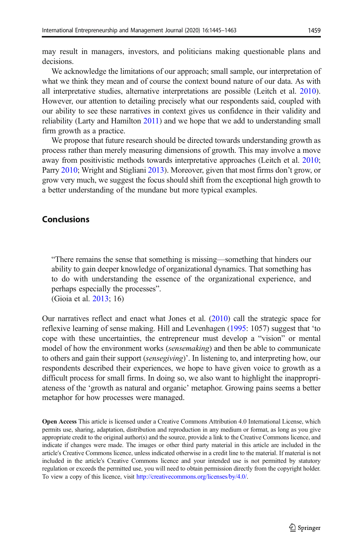may result in managers, investors, and politicians making questionable plans and decisions.

We acknowledge the limitations of our approach; small sample, our interpretation of what we think they mean and of course the context bound nature of our data. As with all interpretative studies, alternative interpretations are possible (Leitch et al. [2010\)](#page-16-0). However, our attention to detailing precisely what our respondents said, coupled with our ability to see these narratives in context gives us confidence in their validity and reliability (Larty and Hamilton [2011\)](#page-16-0) and we hope that we add to understanding small firm growth as a practice.

We propose that future research should be directed towards understanding growth as process rather than merely measuring dimensions of growth. This may involve a move away from positivistic methods towards interpretative approaches (Leitch et al. [2010;](#page-16-0) Parry [2010;](#page-17-0) Wright and Stigliani [2013\)](#page-18-0). Moreover, given that most firms don't grow, or grow very much, we suggest the focus should shift from the exceptional high growth to a better understanding of the mundane but more typical examples.

# Conclusions

"There remains the sense that something is missing—something that hinders our ability to gain deeper knowledge of organizational dynamics. That something has to do with understanding the essence of the organizational experience, and perhaps especially the processes".

(Gioia et al. [2013;](#page-16-0) 16)

Our narratives reflect and enact what Jones et al. [\(2010\)](#page-16-0) call the strategic space for reflexive learning of sense making. Hill and Levenhagen [\(1995](#page-16-0): 1057) suggest that 'to cope with these uncertainties, the entrepreneur must develop a "vision" or mental model of how the environment works (*sensemaking*) and then be able to communicate to others and gain their support (sensegiving)'. In listening to, and interpreting how, our respondents described their experiences, we hope to have given voice to growth as a difficult process for small firms. In doing so, we also want to highlight the inappropriateness of the 'growth as natural and organic' metaphor. Growing pains seems a better metaphor for how processes were managed.

Open Access This article is licensed under a Creative Commons Attribution 4.0 International License, which permits use, sharing, adaptation, distribution and reproduction in any medium or format, as long as you give appropriate credit to the original author(s) and the source, provide a link to the Creative Commons licence, and indicate if changes were made. The images or other third party material in this article are included in the article's Creative Commons licence, unless indicated otherwise in a credit line to the material. If material is not included in the article's Creative Commons licence and your intended use is not permitted by statutory regulation or exceeds the permitted use, you will need to obtain permission directly from the copyright holder. To view a copy of this licence, visit [http://creativecommons.org/licenses/by/4.0/.](http://creativecommons.org/licenses/by/4.0/)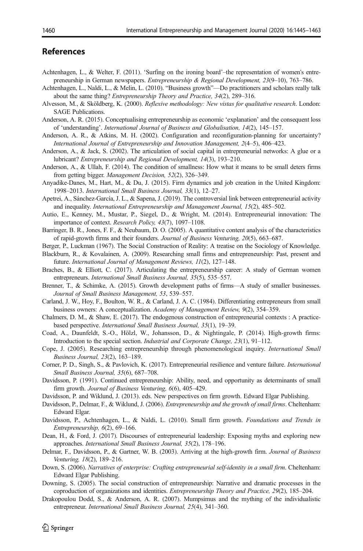# <span id="page-15-0"></span>References

- Achtenhagen, L., & Welter, F. (2011). 'Surfing on the ironing board'–the representation of women's entrepreneurship in German newspapers. Entrepreneurship & Regional Development, 23(9–10), 763–786.
- Achtenhagen, L., Naldi, L., & Melin, L. (2010). "Business growth"—Do practitioners and scholars really talk about the same thing? Entrepreneurship Theory and Practice, 34(2), 289–316.
- Alvesson, M., & Sköldberg, K. (2000). Reflexive methodology: New vistas for qualitative research. London: SAGE Publications.
- Anderson, A. R. (2015). Conceptualising entrepreneurship as economic 'explanation' and the consequent loss of 'understanding'. International Journal of Business and Globalisation, 14(2), 145–157.
- Anderson, A. R., & Atkins, M. H. (2002). Configuration and reconfiguration-planning for uncertainty? International Journal of Entrepreneurship and Innovation Management, 2(4–5), 406–423.
- Anderson, A., & Jack, S. (2002). The articulation of social capital in entrepreneurial networks: A glue or a lubricant? Entrepreneurship and Regional Development, 14(3), 193–210.
- Anderson, A., & Ullah, F. (2014). The condition of smallness: How what it means to be small deters firms from getting bigger. Management Decision, 52(2), 326–349.
- Anyadike-Danes, M., Hart, M., & Du, J. (2015). Firm dynamics and job creation in the United Kingdom: 1998–2013. International Small Business Journal, 33(1), 12–27.
- Apetrei, A., Sánchez-García, J. L., & Sapena, J. (2019). The controversial link between entrepreneurial activity and inequality. International Entrepreneurship and Management Journal, 15(2), 485–502.
- Autio, E., Kenney, M., Mustar, P., Siegel, D., & Wright, M. (2014). Entrepreneurial innovation: The importance of context. Research Policy, 43(7), 1097–1108.
- Barringer, B. R., Jones, F. F., & Neubaum, D. O. (2005). A quantitative content analysis of the characteristics of rapid-growth firms and their founders. Journal of Business Venturing, 20(5), 663–687.
- Berger, P., Luckman (1967). The Social Construction of Reality: A treatise on the Sociology of Knowledge.
- Blackburn, R., & Kovalainen, A. (2009). Researching small firms and entrepreneurship: Past, present and future. International Journal of Management Reviews, 11(2), 127–148.
- Braches, B., & Elliott, C. (2017). Articulating the entrepreneurship career: A study of German women entrepreneurs. International Small Business Journal, 35(5), 535–557.
- Brenner, T., & Schimke, A. (2015). Growth development paths of firms—A study of smaller businesses. Journal of Small Business Management, 53, 539–557.
- Carland, J. W., Hoy, F., Boulton, W. R., & Carland, J. A. C. (1984). Differentiating entrepreneurs from small business owners: A conceptualization. Academy of Management Review, 9(2), 354–359.
- Chalmers, D. M., & Shaw, E. (2017). The endogenous construction of entrepreneurial contexts : A practicebased perspective. International Small Business Journal, 35(1), 19–39.
- Coad, A., Daunfeldt, S.-O., Hölzl, W., Johansson, D., & Nightingale, P. (2014). High-growth firms: Introduction to the special section. Industrial and Corporate Change, 23(1), 91–112.
- Cope, J. (2005). Researching entrepreneurship through phenomenological inquiry. International Small Business Journal, 23(2), 163–189.
- Corner, P. D., Singh, S., & Pavlovich, K. (2017). Entrepreneurial resilience and venture failure. International Small Business Journal, 35(6), 687–708.
- Davidsson, P. (1991). Continued entrepreneurship: Ability, need, and opportunity as determinants of small firm growth. Journal of Business Venturing, 6(6), 405–429.
- Davidsson, P. and Wiklund, J. (2013). eds. New perspectives on firm growth. Edward Elgar Publishing.
- Davidsson, P., Delmar, F., & Wiklund, J. (2006). Entrepreneurship and the growth of small firms. Cheltenham: Edward Elgar.
- Davidsson, P., Achtenhagen, L., & Naldi, L. (2010). Small firm growth. Foundations and Trends in Entrepreneurship, 6(2), 69–166.
- Dean, H., & Ford, J. (2017). Discourses of entrepreneurial leadership: Exposing myths and exploring new approaches. International Small Business Journal, 35(2), 178–196.
- Delmar, F., Davidsson, P., & Gartner, W. B. (2003). Arriving at the high-growth firm. Journal of Business Venturing, 18(2), 189–216.
- Down, S. (2006). Narratives of enterprise: Crafting entrepreneurial self-identity in a small firm. Cheltenham: Edward Elgar Publishing.
- Downing, S. (2005). The social construction of entrepreneurship: Narrative and dramatic processes in the coproduction of organizations and identities. Entrepreneurship Theory and Practice, 29(2), 185–204.
- Drakopoulou Dodd, S., & Anderson, A. R. (2007). Mumpsimus and the mything of the individualistic entrepreneur. International Small Business Journal, 25(4), 341–360.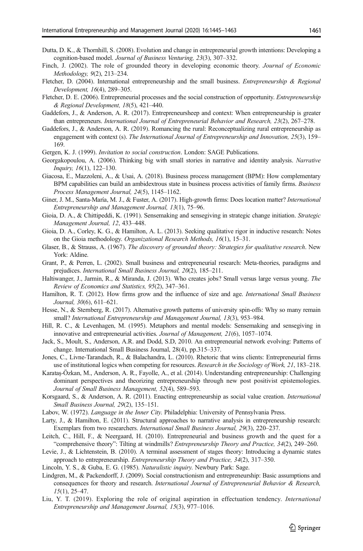- <span id="page-16-0"></span>Dutta, D. K., & Thornhill, S. (2008). Evolution and change in entrepreneurial growth intentions: Developing a cognition-based model. Journal of Business Venturing, 23(3), 307–332.
- Finch, J. (2002). The role of grounded theory in developing economic theory. Journal of Economic Methodology, 9(2), 213–234.
- Fletcher, D. (2004). International entrepreneurship and the small business. *Entrepreneurship & Regional* Development, 16(4), 289–305.
- Fletcher, D. E. (2006). Entrepreneurial processes and the social construction of opportunity. *Entrepreneurship* & Regional Development, 18(5), 421–440.
- Gaddefors, J., & Anderson, A. R. (2017). Entrepreneursheep and context: When entrepreneurship is greater than entrepreneurs. International Journal of Entrepreneurial Behavior and Research, 23(2), 267–278.
- Gaddefors, J., & Anderson, A. R. (2019). Romancing the rural: Reconceptualizing rural entrepreneurship as engagement with context (s). The International Journal of Entrepreneurship and Innovation, 25(3), 159– 169.
- Gergen, K. J. (1999). Invitation to social construction. London: SAGE Publications.
- Georgakopoulou, A. (2006). Thinking big with small stories in narrative and identity analysis. Narrative Inquiry, 16(1), 122–130.
- Giacosa, E., Mazzoleni, A., & Usai, A. (2018). Business process management (BPM): How complementary BPM capabilities can build an ambidextrous state in business process activities of family firms. Business Process Management Journal, 24(5), 1145–1162.
- Giner, J. M., Santa-María, M. J., & Fuster, A. (2017). High-growth firms: Does location matter? *International* Entrepreneurship and Management Journal, 13(1), 75–96.
- Gioia, D. A., & Chittipeddi, K. (1991). Sensemaking and sensegiving in strategic change initiation. Strategic Management Journal, 12, 433–448.
- Gioia, D. A., Corley, K. G., & Hamilton, A. L. (2013). Seeking qualitative rigor in inductive research: Notes on the Gioia methodology. Organizational Research Methods, 16(1), 15–31.
- Glaser, B., & Strauss, A. (1967). The discovery of grounded theory: Strategies for qualitative research. New York: Aldine.
- Grant, P., & Perren, L. (2002). Small business and entrepreneurial research: Meta-theories, paradigms and prejudices. International Small Business Journal, 20(2), 185–211.
- Haltiwanger, J., Jarmin, R., & Miranda, J. (2013). Who creates jobs? Small versus large versus young. The Review of Economics and Statistics, 95(2), 347–361.
- Hamilton, R. T. (2012). How firms grow and the influence of size and age. *International Small Business* Journal, 30(6), 611–621.
- Hesse, N., & Sternberg, R. (2017). Alternative growth patterns of university spin-offs: Why so many remain small? International Entrepreneurship and Management Journal, 13(3), 953–984.
- Hill, R. C., & Levenhagen, M. (1995). Metaphors and mental models: Sensemaking and sensegiving in innovative and entrepreneurial activities. Journal of Management, 21(6), 1057–1074.
- Jack, S., Moult, S., Anderson, A.R. and Dodd, S.D, 2010. An entrepreneurial network evolving: Patterns of change. International Small Business Journal, 28(4), pp.315–337.
- Jones, C., Livne-Tarandach, R., & Balachandra, L. (2010). Rhetoric that wins clients: Entrepreneurial firms use of institutional logics when competing for resources. Research in the Sociology of Work, 21, 183–218.
- Karataş-Özkan, M., Anderson, A. R., Fayolle, A., et al. (2014). Understanding entrepreneurship: Challenging dominant perspectives and theorizing entrepreneurship through new post positivist epistemologies. Journal of Small Business Management, 52(4), 589–593.
- Korsgaard, S., & Anderson, A. R. (2011). Enacting entrepreneurship as social value creation. International Small Business Journal, 29(2), 135–151.
- Labov, W. (1972). Language in the Inner City. Philadelphia: University of Pennsylvania Press.
- Larty, J., & Hamilton, E. (2011). Structural approaches to narrative analysis in entrepreneurship research: Exemplars from two researchers. International Small Business Journal, 29(3), 220–237.
- Leitch, C., Hill, F., & Neergaard, H. (2010). Entrepreneurial and business growth and the quest for a "comprehensive theory": Tilting at windmills? Entrepreneurship Theory and Practice, 34(2), 249–260.
- Levie, J., & Lichtenstein, B. (2010). A terminal assessment of stages theory: Introducing a dynamic states approach to entrepreneurship. Entrepreneurship Theory and Practice, 34(2), 317–350.
- Lincoln, Y. S., & Guba, E. G. (1985). Naturalistic inquiry. Newbury Park: Sage.
- Lindgren, M., & Packendorff, J. (2009). Social constructionism and entrepreneurship: Basic assumptions and consequences for theory and research. International Journal of Entrepreneurial Behavior & Research, 15(1), 25–47.
- Liu, Y. T. (2019). Exploring the role of original aspiration in effectuation tendency. International Entrepreneurship and Management Journal, 15(3), 977–1016.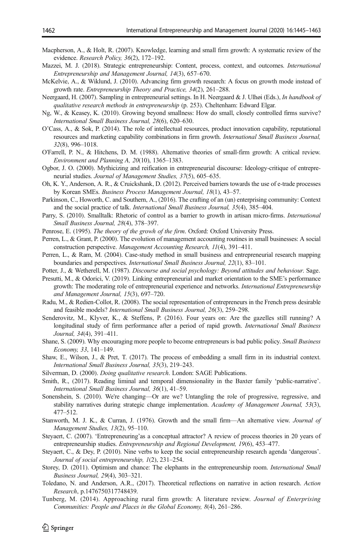- <span id="page-17-0"></span>Macpherson, A., & Holt, R. (2007). Knowledge, learning and small firm growth: A systematic review of the evidence. Research Policy, 36(2), 172–192.
- Mazzei, M. J. (2018). Strategic entrepreneurship: Content, process, context, and outcomes. International Entrepreneurship and Management Journal, 14(3), 657–670.
- McKelvie, A., & Wiklund, J. (2010). Advancing firm growth research: A focus on growth mode instead of growth rate. Entrepreneurship Theory and Practice, 34(2), 261–288.
- Neergaard, H. (2007). Sampling in entrepreneurial settings. In H. Neergaard & J. Ulhøi (Eds.), In handbook of qualitative research methods in entrepreneurship (p. 253). Cheltenham: Edward Elgar.
- Ng, W., & Keasey, K. (2010). Growing beyond smallness: How do small, closely controlled firms survive? International Small Business Journal, 28(6), 620–630.
- O'Cass, A., & Sok, P. (2014). The role of intellectual resources, product innovation capability, reputational resources and marketing capability combinations in firm growth. International Small Business Journal, 32(8), 996–1018.
- O'Farrell, P. N., & Hitchens, D. M. (1988). Alternative theories of small-firm growth: A critical review. Environment and Planning A, 20(10), 1365–1383.
- Ogbor, J. O. (2000). Mythicizing and reification in entrepreneurial discourse: Ideology-critique of entrepreneurial studies. Journal of Management Studies, 37(5), 605–635.
- Oh, K. Y., Anderson, A. R., & Cruickshank, D. (2012). Perceived barriers towards the use of e-trade processes by Korean SMEs. Business Process Management Journal, 18(1), 43–57.
- Parkinson, C., Howorth, C. and Southern, A., (2016). The crafting of an (un) enterprising community: Context and the social practice of talk. International Small Business Journal, 35(4), 385–404.
- Parry, S. (2010). Smalltalk: Rhetoric of control as a barrier to growth in artisan micro-firms. International Small Business Journal, 28(4), 378–397.

Penrose, E. (1995). The theory of the growh of the firm. Oxford: Oxford University Press.

- Perren, L., & Grant, P. (2000). The evolution of management accounting routines in small businesses: A social construction perspective. Management Accounting Research, 11(4), 391–411.
- Perren, L., & Ram, M. (2004). Case-study method in small business and entrepreneurial research mapping boundaries and perspectives. International Small Business Journal, 22(1), 83–101.
- Potter, J., & Wetherell, M. (1987). Discourse and social psychology: Beyond attitudes and behaviour. Sage.
- Presutti, M., & Odorici, V. (2019). Linking entrepreneurial and market orientation to the SME's performance growth: The moderating role of entrepreneurial experience and networks. International Entrepreneurship and Management Journal, 15(3), 697–720.
- Radu, M., & Redien-Collot, R. (2008). The social representation of entrepreneurs in the French press desirable and feasible models? International Small Business Journal, 26(3), 259–298.
- Senderovitz, M., Klyver, K., & Steffens, P. (2016). Four years on: Are the gazelles still running? A longitudinal study of firm performance after a period of rapid growth. International Small Business Journal, 34(4), 391–411.
- Shane, S. (2009). Why encouraging more people to become entrepreneurs is bad public policy. Small Business Economy, 33, 141–149.
- Shaw, E., Wilson, J., & Pret, T. (2017). The process of embedding a small firm in its industrial context. International Small Business Journal, 35(3), 219–243.
- Silverman, D. (2000). *Doing qualitative research*. London: SAGE Publications.
- Smith, R., (2017). Reading liminal and temporal dimensionality in the Baxter family 'public-narrative'. International Small Business Journal, 36(1), 41–59.
- Sonenshein, S. (2010). We're changing—Or are we? Untangling the role of progressive, regressive, and stability narratives during strategic change implementation. Academy of Management Journal, 53(3), 477–512.
- Stanworth, M. J. K., & Curran, J. (1976). Growth and the small firm—An alternative view. Journal of Management Studies, 13(2), 95–110.
- Steyaert, C. (2007). 'Entrepreneuring'as a conceptual attractor? A review of process theories in 20 years of entrepreneurship studies. Entrepreneurship and Regional Development, 19(6), 453–477.
- Steyaert, C., & Dey, P. (2010). Nine verbs to keep the social entrepreneurship research agenda 'dangerous'. Journal of social entrepreneurship, 1(2), 231–254.
- Storey, D. (2011). Optimism and chance: The elephants in the entrepreneurship room. International Small Business Journal, 29(4), 303–321.
- Toledano, N. and Anderson, A.R., (2017). Theoretical reflections on narrative in action research. Action Research, p.1476750317748439.
- Tunberg, M. (2014). Approaching rural firm growth: A literature review. Journal of Enterprising Communities: People and Places in the Global Economy, 8(4), 261–286.